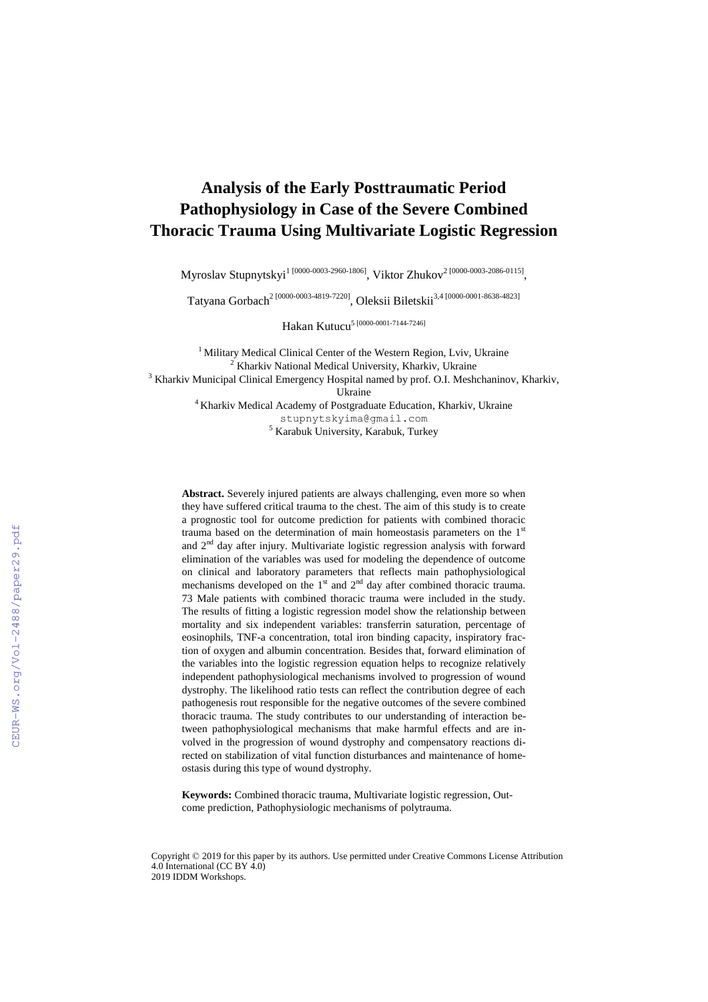# **Analysis of the Early Posttraumatic Period Pathophysiology in Case of the Severe Combined Thoracic Trauma Using Multivariate Logistic Regression**

Myroslav Stupnytskyi $^{1\, [0000\text{-}0003\text{-}2960\text{-}1806] },$  Viktor Zhukov $^{2\, [0000\text{-}0003\text{-}2086\text{-}0115] },$ 

Tatyana Gorbach 2 [0000-0003-4819-7220] , Oleksii Biletskii3,4 [0000-0001-8638-4823]

Hakan Kutucu<sup>5 [0000-0001-7144-7246]</sup>

<sup>1</sup> Military Medical Clinical Center of the Western Region, Lviv, Ukraine <sup>2</sup> Kharkiv National Medical University, Kharkiv, Ukraine <sup>3</sup> Kharkiv Municipal Clinical Emergency Hospital named by prof. O.I. Meshchaninov, Kharkiv, Ukraine <sup>4</sup> Kharkiv Medical Academy of Postgraduate Education, Kharkiv, Ukraine [stupnytskyima@gmail.com](mailto:stupnytskyima@gmail.com) <sup>5</sup> Karabuk University, Karabuk, Turkey

**Abstract.** Severely injured patients are always challenging, even more so when they have suffered critical trauma to the chest. The aim of this study is to create a prognostic tool for outcome prediction for patients with combined thoracic trauma based on the determination of main homeostasis parameters on the 1<sup>st</sup> and  $2<sup>nd</sup>$  day after injury. Multivariate logistic regression analysis with forward elimination of the variables was used for modeling the dependence of outcome on clinical and laboratory parameters that reflects main pathophysiological mechanisms developed on the  $1<sup>st</sup>$  and  $2<sup>nd</sup>$  day after combined thoracic trauma. 73 Male patients with combined thoracic trauma were included in the study. The results of fitting a logistic regression model show the relationship between mortality and six independent variables: transferrin saturation, percentage of eosinophils, TNF-a concentration, total iron binding capacity, inspiratory fraction of oxygen and albumin concentration. Besides that, forward elimination of the variables into the logistic regression equation helps to recognize relatively independent pathophysiological mechanisms involved to progression of wound dystrophy. The likelihood ratio tests can reflect the contribution degree of each pathogenesis rout responsible for the negative outcomes of the severe combined thoracic trauma. The study contributes to our understanding of interaction between pathophysiological mechanisms that make harmful effects and are involved in the progression of wound dystrophy and compensatory reactions directed on stabilization of vital function disturbances and maintenance of homeostasis during this type of wound dystrophy.

**Keywords:** Combined thoracic trauma, Multivariate logistic regression, Outcome prediction, Pathophysiologic mechanisms of polytrauma.

Copyright © 2019 for this paper by its authors. Use permitted under Creative Commons License Attribution 4.0 International (CC BY 4.0) 2019 IDDM Workshops.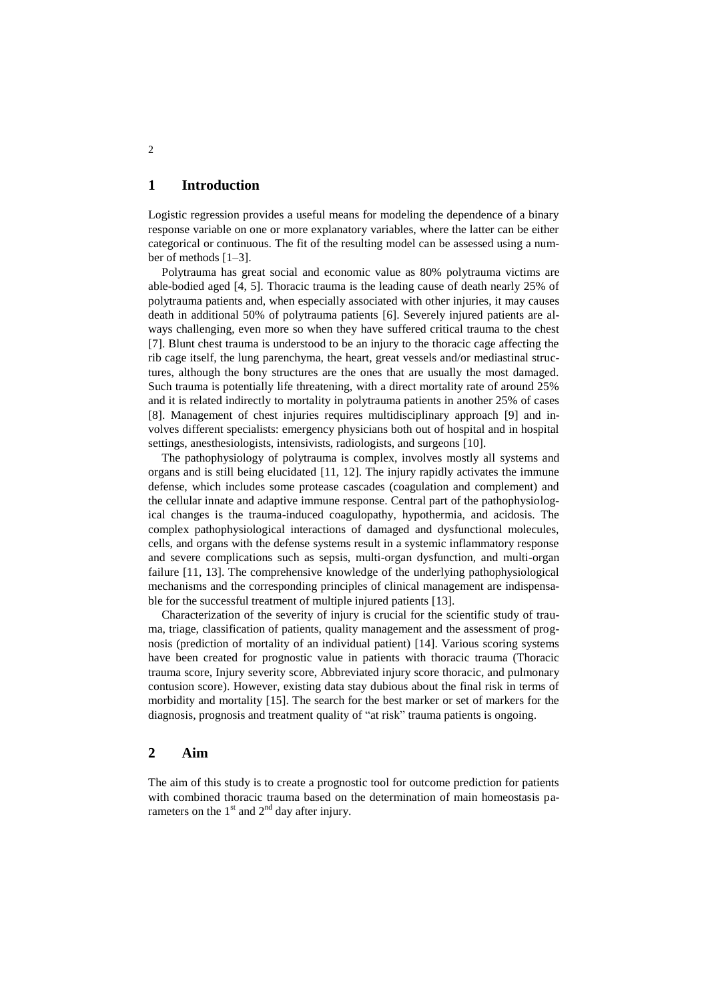## **1 Introduction**

Logistic regression provides a useful means for modeling the dependence of a binary response variable on one or more explanatory variables, where the latter can be either categorical or continuous. The fit of the resulting model can be assessed using a number of methods [1–3].

Polytrauma has great social and economic value as 80% polytrauma victims are able-bodied aged [4, 5]. Thoracic trauma is the leading cause of death nearly 25% of polytrauma patients and, when especially associated with other injuries, it may causes death in additional 50% of polytrauma patients [6]. Severely injured patients are always challenging, even more so when they have suffered critical trauma to the chest [7]. Blunt chest trauma is understood to be an injury to the thoracic cage affecting the rib cage itself, the lung parenchyma, the heart, great vessels and/or mediastinal structures, although the bony structures are the ones that are usually the most damaged. Such trauma is potentially life threatening, with a direct mortality rate of around 25% and it is related indirectly to mortality in polytrauma patients in another 25% of cases [8]. Management of chest injuries requires multidisciplinary approach [9] and involves different specialists: emergency physicians both out of hospital and in hospital settings, anesthesiologists, intensivists, radiologists, and surgeons [10].

The pathophysiology of polytrauma is complex, involves mostly all systems and organs and is still being elucidated [11, 12]. The injury rapidly activates the immune defense, which includes some protease cascades (coagulation and complement) and the cellular innate and adaptive immune response. Central part of the pathophysiological changes is the trauma-induced coagulopathy, hypothermia, and acidosis. The complex pathophysiological interactions of damaged and dysfunctional molecules, cells, and organs with the defense systems result in a systemic inflammatory response and severe complications such as sepsis, multi-organ dysfunction, and multi-organ failure [11, 13]. The comprehensive knowledge of the underlying pathophysiological mechanisms and the corresponding principles of clinical management are indispensable for the successful treatment of multiple injured patients [13].

Characterization of the severity of injury is crucial for the scientific study of trauma, triage, classification of patients, quality management and the assessment of prognosis (prediction of mortality of an individual patient) [14]. Various scoring systems have been created for prognostic value in patients with thoracic trauma (Thoracic trauma score, Injury severity score, Abbreviated injury score thoracic, and pulmonary contusion score). However, existing data stay dubious about the final risk in terms of morbidity and mortality [15]. The search for the best marker or set of markers for the diagnosis, prognosis and treatment quality of "at risk" trauma patients is ongoing.

## **2 Aim**

The aim of this study is to create a prognostic tool for outcome prediction for patients with combined thoracic trauma based on the determination of main homeostasis parameters on the  $1<sup>st</sup>$  and  $2<sup>nd</sup>$  day after injury.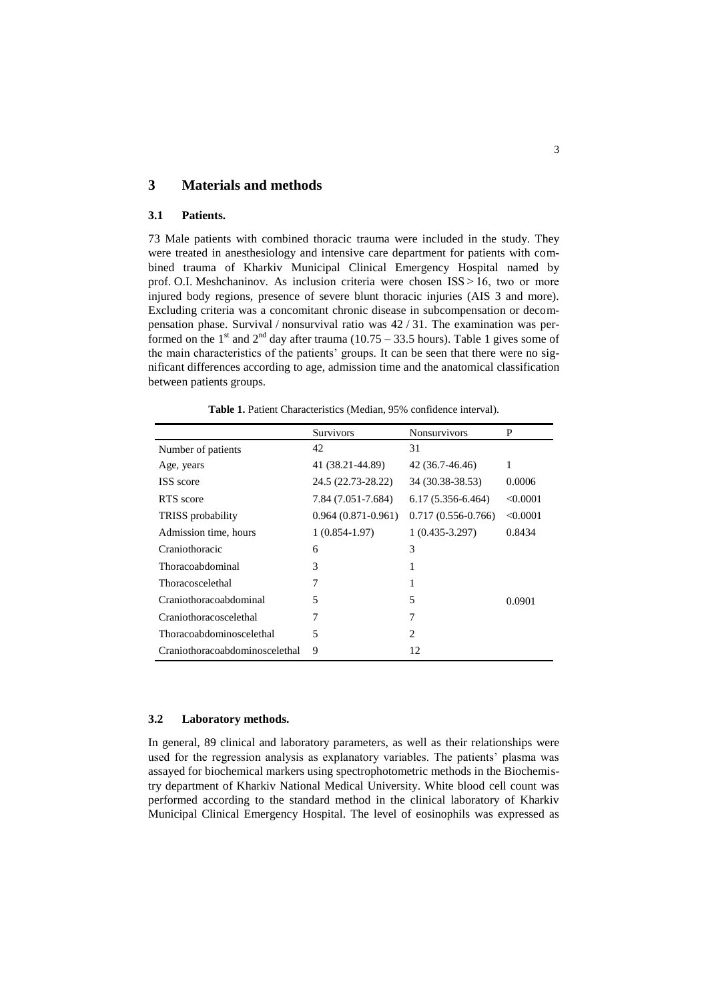## **3 Materials and methods**

#### **3.1 Patients.**

73 Male patients with combined thoracic trauma were included in the study. They were treated in anesthesiology and intensive care department for patients with combined trauma of Kharkiv Municipal Clinical Emergency Hospital named by prof. O.I. Meshchaninov. As inclusion criteria were chosen ISS > 16, two or more injured body regions, presence of severe blunt thoracic injuries (AIS 3 and more). Excluding criteria was a concomitant chronic disease in subcompensation or decompensation phase. Survival / nonsurvival ratio was 42 / 31. The examination was performed on the 1<sup>st</sup> and 2<sup>nd</sup> day after trauma (10.75 – 33.5 hours). Table 1 gives some of the main characteristics of the patients' groups. It can be seen that there were no significant differences according to age, admission time and the anatomical classification between patients groups.

|                                | <b>Survivors</b>     | <b>Nonsurvivors</b>           | P        |
|--------------------------------|----------------------|-------------------------------|----------|
| Number of patients             | 42                   | 31                            |          |
| Age, years                     | 41 (38.21-44.89)     | 42 (36.7-46.46)               | 1        |
| ISS score                      | 24.5 (22.73-28.22)   | 34 (30.38-38.53)              | 0.0006   |
| RTS score                      | 7.84 (7.051-7.684)   | $6.17(5.356-6.464)$           | < 0.0001 |
| <b>TRISS</b> probability       | $0.964(0.871-0.961)$ | $0.717(0.556-0.766)$          | < 0.0001 |
| Admission time, hours          | $1(0.854-1.97)$      | $1(0.435-3.297)$              | 0.8434   |
| Craniothoracic                 | 6                    | 3                             |          |
| Thoracoabdominal               | 3                    | 1                             |          |
| Thoracoscelethal               | 7                    | 1                             |          |
| Craniothoracoabdominal         | 5                    | 5                             | 0.0901   |
| Craniothoracoscelethal         | 7                    | 7                             |          |
| Thoracoabdominoscelethal       | 5                    | $\mathfrak{D}_{\mathfrak{p}}$ |          |
| Craniothoracoabdominoscelethal | 9                    | 12                            |          |

**Table 1.** Patient Characteristics (Median, 95% confidence interval).

#### **3.2 Laboratory methods.**

In general, 89 clinical and laboratory parameters, as well as their relationships were used for the regression analysis as explanatory variables. The patients' plasma was assayed for biochemical markers using spectrophotometric methods in the Biochemistry department of Kharkiv National Medical University. White blood cell count was performed according to the standard method in the clinical laboratory of Kharkiv Municipal Clinical Emergency Hospital. The level of eosinophils was expressed as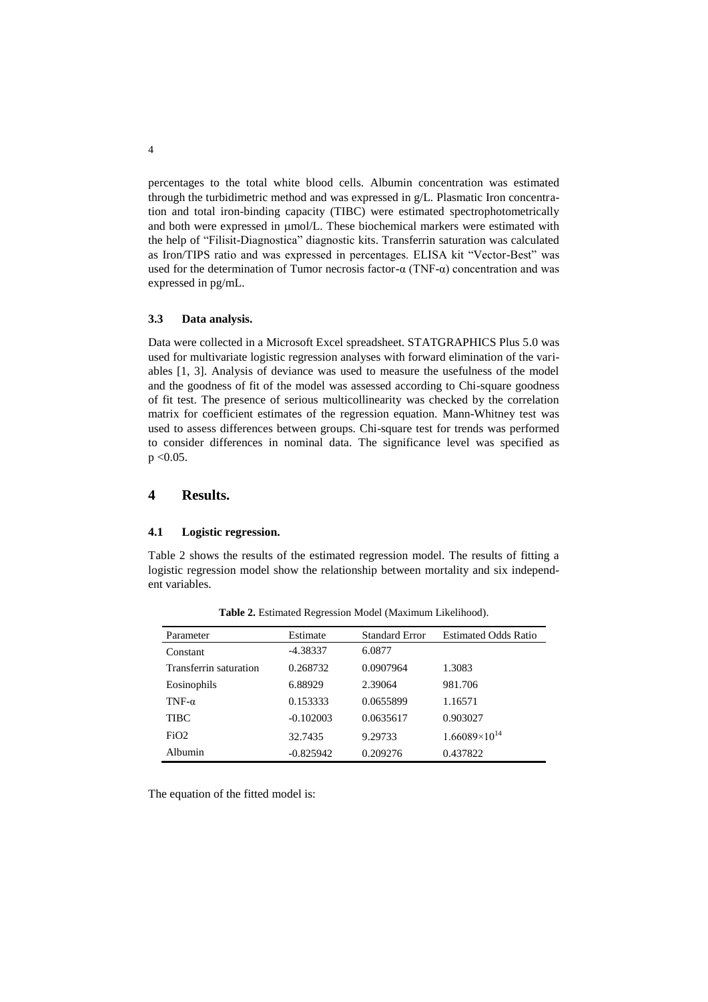percentages to the total white blood cells. Albumin concentration was estimated through the turbidimetric method and was expressed in g/L. Plasmatic Iron concentration and total iron-binding capacity (TIBC) were estimated spectrophotometrically and both were expressed in  $\mu$ mol/L. These biochemical markers were estimated with the help of "Filisit-Diagnostica" diagnostic kits. Transferrin saturation was calculated as Iron/TIPS ratio and was expressed in percentages. ELISA kit "Vector-Best" was used for the determination of Tumor necrosis factor-α (TNF-α) concentration and was expressed in pg/mL.

#### **3.3 Data analysis.**

Data were collected in a Microsoft Excel spreadsheet. STATGRAPHICS Plus 5.0 was used for multivariate logistic regression analyses with forward elimination of the variables [1, 3]. Analysis of deviance was used to measure the usefulness of the model and the goodness of fit of the model was assessed according to Chi-square goodness of fit test. The presence of serious multicollinearity was checked by the correlation matrix for coefficient estimates of the regression equation. Mann-Whitney test was used to assess differences between groups. Chi-square test for trends was performed to consider differences in nominal data. The significance level was specified as  $p < 0.05$ .

## **4 Results.**

#### **4.1 Logistic regression.**

Table 2 shows the results of the estimated regression model. The results of fitting a logistic regression model show the relationship between mortality and six independent variables.

| Parameter              | Estimate    | <b>Standard Error</b> | <b>Estimated Odds Ratio</b> |
|------------------------|-------------|-----------------------|-----------------------------|
| Constant               | $-4.38337$  | 6.0877                |                             |
| Transferrin saturation | 0.268732    | 0.0907964             | 1.3083                      |
| Eosinophils            | 6.88929     | 2.39064               | 981.706                     |
| TNF- $\alpha$          | 0.153333    | 0.0655899             | 1.16571                     |
| <b>TIBC</b>            | $-0.102003$ | 0.0635617             | 0.903027                    |
| FiO2                   | 32.7435     | 9.29733               | $1.66089\times10^{14}$      |
| Albumin                | $-0.825942$ | 0.209276              | 0.437822                    |

**Table 2.** Estimated Regression Model (Maximum Likelihood).

The equation of the fitted model is: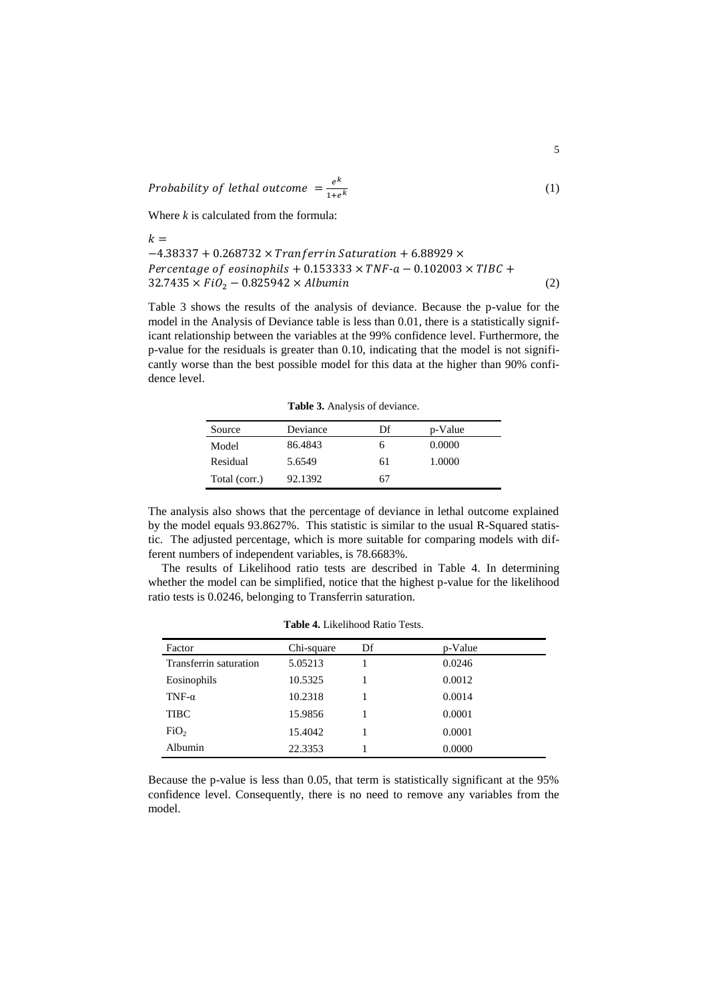Probability of lethal outcome  $=\frac{e^{k}}{2}$  $1 + e^k$ (1)

Where *k* is calculated from the formula:

 $\mathbf{r}$ 

$$
\kappa = -4.38337 + 0.268732 \times Tranferrin Saturation + 6.88929 \times Percentage of eosinophils + 0.153333 \times TNF-a - 0.102003 \times TIBC + 32.7435 \times FiO2 - 0.825942 \times Albumin
$$
 (2)

Table 3 shows the results of the analysis of deviance. Because the p-value for the model in the Analysis of Deviance table is less than 0.01, there is a statistically significant relationship between the variables at the 99% confidence level. Furthermore, the p-value for the residuals is greater than 0.10, indicating that the model is not significantly worse than the best possible model for this data at the higher than 90% confidence level.

**Table 3.** Analysis of deviance.

| Source        | Deviance | Df | p-Value |
|---------------|----------|----|---------|
| Model         | 86.4843  | n  | 0.0000  |
| Residual      | 5.6549   | 61 | 1.0000  |
| Total (corr.) | 92.1392  | 67 |         |

The analysis also shows that the percentage of deviance in lethal outcome explained by the model equals 93.8627%. This statistic is similar to the usual R-Squared statistic. The adjusted percentage, which is more suitable for comparing models with different numbers of independent variables, is 78.6683%.

The results of Likelihood ratio tests are described in Table 4. In determining whether the model can be simplified, notice that the highest p-value for the likelihood ratio tests is 0.0246, belonging to Transferrin saturation.

| Factor                 | Chi-square | Df | p-Value |
|------------------------|------------|----|---------|
| Transferrin saturation | 5.05213    |    | 0.0246  |
| Eosinophils            | 10.5325    |    | 0.0012  |
| TNF- $\alpha$          | 10.2318    |    | 0.0014  |
| <b>TIBC</b>            | 15.9856    |    | 0.0001  |
| FiO <sub>2</sub>       | 15.4042    |    | 0.0001  |
| Albumin                | 22.3353    |    | 0.0000  |

**Table 4.** Likelihood Ratio Tests.

Because the p-value is less than 0.05, that term is statistically significant at the 95% confidence level. Consequently, there is no need to remove any variables from the model.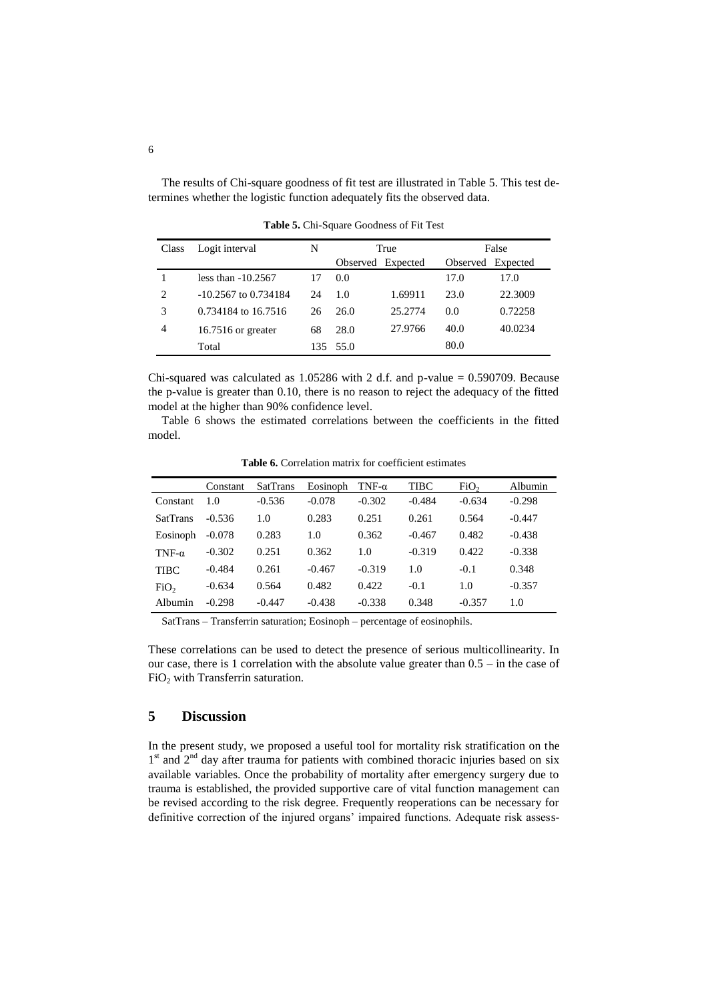The results of Chi-square goodness of fit test are illustrated in Table 5. This test determines whether the logistic function adequately fits the observed data.

| Class | Logit interval         | N  | True              |         | False             |         |
|-------|------------------------|----|-------------------|---------|-------------------|---------|
|       |                        |    | Observed Expected |         | Observed Expected |         |
|       | less than $-10.2567$   |    | 0.0               |         | 17.0              | 17.0    |
| 2     | $-10.2567$ to 0.734184 | 24 | 1.0               | 1.69911 | 23.0              | 22.3009 |
| 3     | 0.734184 to 16.7516    | 26 | 26.0              | 25.2774 | $0.0^{\circ}$     | 0.72258 |
| 4     | $16.7516$ or greater   | 68 | 28.0              | 27.9766 | 40.0              | 40.0234 |
|       | Total                  |    | 135 55.0          |         | 80.0              |         |

**Table 5.** Chi-Square Goodness of Fit Test

Chi-squared was calculated as  $1.05286$  with 2 d.f. and p-value = 0.590709. Because the p-value is greater than 0.10, there is no reason to reject the adequacy of the fitted model at the higher than 90% confidence level.

Table 6 shows the estimated correlations between the coefficients in the fitted model.

|                  | Constant | <b>SatTrans</b> | Eosinoph | TNF- $\alpha$ | TIBC     | FiO <sub>2</sub> | Albumin  |
|------------------|----------|-----------------|----------|---------------|----------|------------------|----------|
| Constant         | 1.0      | $-0.536$        | $-0.078$ | $-0.302$      | $-0.484$ | $-0.634$         | $-0.298$ |
| <b>SatTrans</b>  | $-0.536$ | 1.0             | 0.283    | 0.251         | 0.261    | 0.564            | $-0.447$ |
| Eosinoph         | $-0.078$ | 0.283           | 1.0      | 0.362         | $-0.467$ | 0.482            | $-0.438$ |
| TNF- $\alpha$    | $-0.302$ | 0.251           | 0.362    | 1.0           | $-0.319$ | 0.422            | $-0.338$ |
| <b>TIBC</b>      | $-0.484$ | 0.261           | $-0.467$ | $-0.319$      | 1.0      | $-0.1$           | 0.348    |
| FiO <sub>2</sub> | $-0.634$ | 0.564           | 0.482    | 0.422         | $-0.1$   | 1.0              | $-0.357$ |
| Albumin          | $-0.298$ | $-0.447$        | $-0.438$ | $-0.338$      | 0.348    | $-0.357$         | 1.0      |

**Table 6.** Correlation matrix for coefficient estimates

SatTrans – Transferrin saturation; Eosinoph – percentage of eosinophils.

These correlations can be used to detect the presence of serious multicollinearity. In our case, there is 1 correlation with the absolute value greater than 0.5 – in the case of FiO<sub>2</sub> with Transferrin saturation.

## **5 Discussion**

In the present study, we proposed a useful tool for mortality risk stratification on the  $1<sup>st</sup>$  and  $2<sup>nd</sup>$  day after trauma for patients with combined thoracic injuries based on six available variables. Once the probability of mortality after emergency surgery due to trauma is established, the provided supportive care of vital function management can be revised according to the risk degree. Frequently reoperations can be necessary for definitive correction of the injured organs' impaired functions. Adequate risk assess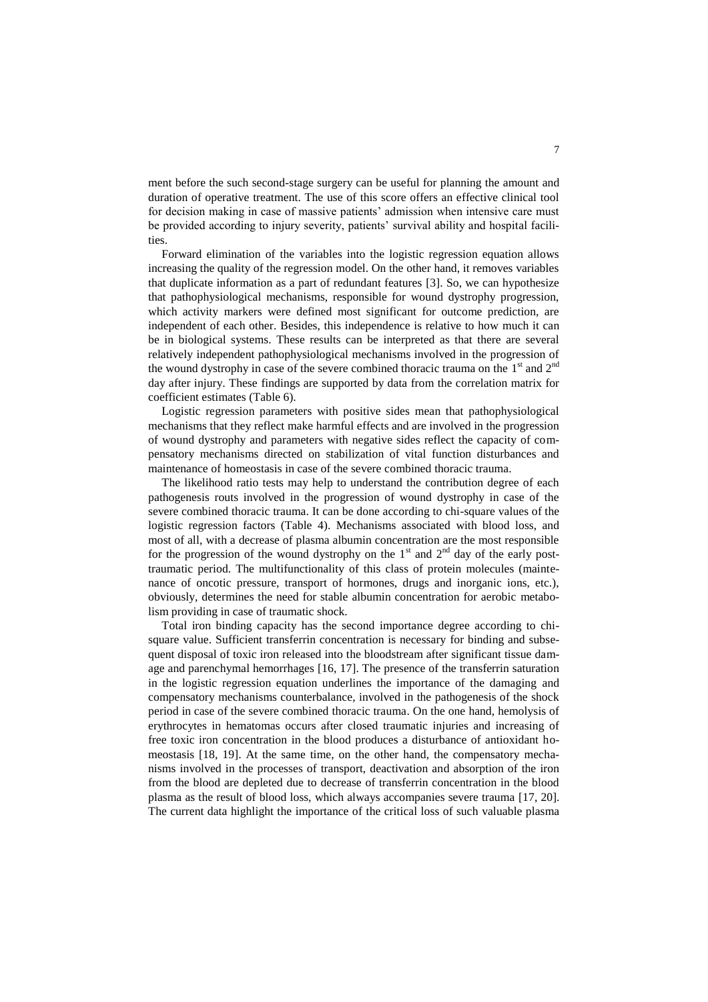ment before the such second-stage surgery can be useful for planning the amount and duration of operative treatment. The use of this score offers an effective clinical tool for decision making in case of massive patients' admission when intensive care must be provided according to injury severity, patients' survival ability and hospital facilities.

Forward elimination of the variables into the logistic regression equation allows increasing the quality of the regression model. On the other hand, it removes variables that duplicate information as a part of redundant features [3]. So, we can hypothesize that pathophysiological mechanisms, responsible for wound dystrophy progression, which activity markers were defined most significant for outcome prediction, are independent of each other. Besides, this independence is relative to how much it can be in biological systems. These results can be interpreted as that there are several relatively independent pathophysiological mechanisms involved in the progression of the wound dystrophy in case of the severe combined thoracic trauma on the  $1<sup>st</sup>$  and  $2<sup>nd</sup>$ day after injury. These findings are supported by data from the correlation matrix for coefficient estimates (Table 6).

Logistic regression parameters with positive sides mean that pathophysiological mechanisms that they reflect make harmful effects and are involved in the progression of wound dystrophy and parameters with negative sides reflect the capacity of compensatory mechanisms directed on stabilization of vital function disturbances and maintenance of homeostasis in case of the severe combined thoracic trauma.

The likelihood ratio tests may help to understand the contribution degree of each pathogenesis routs involved in the progression of wound dystrophy in case of the severe combined thoracic trauma. It can be done according to chi-square values of the logistic regression factors (Table 4). Mechanisms associated with blood loss, and most of all, with a decrease of plasma albumin concentration are the most responsible for the progression of the wound dystrophy on the  $1<sup>st</sup>$  and  $2<sup>nd</sup>$  day of the early posttraumatic period. The multifunctionality of this class of protein molecules (maintenance of oncotic pressure, transport of hormones, drugs and inorganic ions, etc.), obviously, determines the need for stable albumin concentration for aerobic metabolism providing in case of traumatic shock.

Total iron binding capacity has the second importance degree according to chisquare value. Sufficient transferrin concentration is necessary for binding and subsequent disposal of toxic iron released into the bloodstream after significant tissue damage and parenchymal hemorrhages [16, 17]. The presence of the transferrin saturation in the logistic regression equation underlines the importance of the damaging and compensatory mechanisms counterbalance, involved in the pathogenesis of the shock period in case of the severe combined thoracic trauma. On the one hand, hemolysis of erythrocytes in hematomas occurs after closed traumatic injuries and increasing of free toxic iron concentration in the blood produces a disturbance of antioxidant homeostasis [18, 19]. At the same time, on the other hand, the compensatory mechanisms involved in the processes of transport, deactivation and absorption of the iron from the blood are depleted due to decrease of transferrin concentration in the blood plasma as the result of blood loss, which always accompanies severe trauma [17, 20]. The current data highlight the importance of the critical loss of such valuable plasma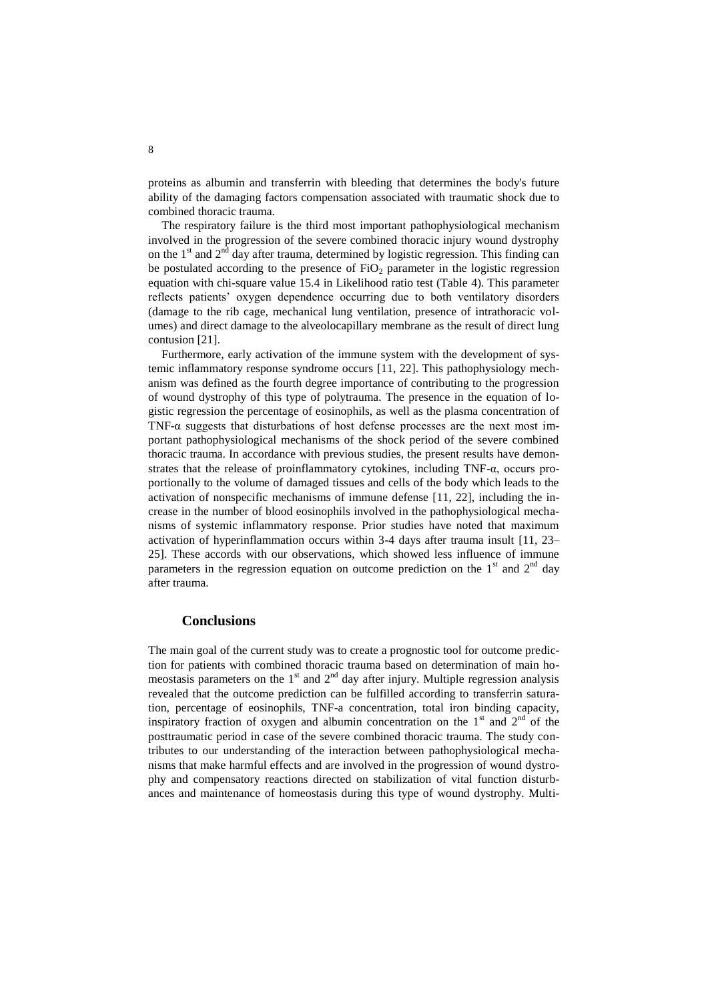proteins as albumin and transferrin with bleeding that determines the body's future ability of the damaging factors compensation associated with traumatic shock due to combined thoracic trauma.

The respiratory failure is the third most important pathophysiological mechanism involved in the progression of the severe combined thoracic injury wound dystrophy on the  $1<sup>st</sup>$  and  $2<sup>nd</sup>$  day after trauma, determined by logistic regression. This finding can be postulated according to the presence of  $FiO<sub>2</sub>$  parameter in the logistic regression equation with chi-square value 15.4 in Likelihood ratio test (Table 4). This parameter reflects patients' oxygen dependence occurring due to both ventilatory disorders (damage to the rib cage, mechanical lung ventilation, presence of intrathoracic volumes) and direct damage to the alveolocapillary membrane as the result of direct lung contusion [21].

Furthermore, early activation of the immune system with the development of systemic inflammatory response syndrome occurs [11, 22]. This pathophysiology mechanism was defined as the fourth degree importance of contributing to the progression of wound dystrophy of this type of polytrauma. The presence in the equation of logistic regression the percentage of eosinophils, as well as the plasma concentration of TNF- $\alpha$  suggests that disturbations of host defense processes are the next most important pathophysiological mechanisms of the shock period of the severe combined thoracic trauma. In accordance with previous studies, the present results have demonstrates that the release of proinflammatory cytokines, including TNF-α, occurs proportionally to the volume of damaged tissues and cells of the body which leads to the activation of nonspecific mechanisms of immune defense [11, 22], including the increase in the number of blood eosinophils involved in the pathophysiological mechanisms of systemic inflammatory response. Prior studies have noted that maximum activation of hyperinflammation occurs within 3-4 days after trauma insult [11, 23– 25]. These accords with our observations, which showed less influence of immune parameters in the regression equation on outcome prediction on the  $1<sup>st</sup>$  and  $2<sup>nd</sup>$  day after trauma.

#### **Conclusions**

The main goal of the current study was to create a prognostic tool for outcome prediction for patients with combined thoracic trauma based on determination of main homeostasis parameters on the  $1<sup>st</sup>$  and  $2<sup>nd</sup>$  day after injury. Multiple regression analysis revealed that the outcome prediction can be fulfilled according to transferrin saturation, percentage of eosinophils, TNF-a concentration, total iron binding capacity, inspiratory fraction of oxygen and albumin concentration on the  $1<sup>st</sup>$  and  $2<sup>nd</sup>$  of the posttraumatic period in case of the severe combined thoracic trauma. The study contributes to our understanding of the interaction between pathophysiological mechanisms that make harmful effects and are involved in the progression of wound dystrophy and compensatory reactions directed on stabilization of vital function disturbances and maintenance of homeostasis during this type of wound dystrophy. Multi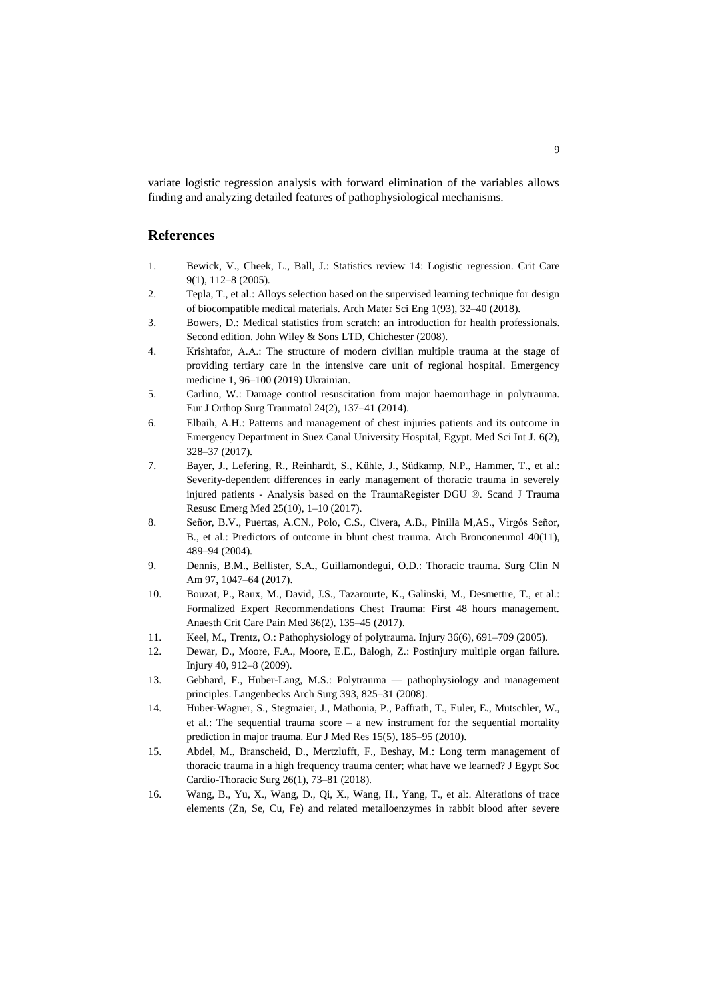variate logistic regression analysis with forward elimination of the variables allows finding and analyzing detailed features of pathophysiological mechanisms.

## **References**

- 1. Bewick, V., Cheek, L., Ball, J.: Statistics review 14: Logistic regression. Crit Care 9(1), 112–8 (2005).
- 2. Tepla, T., et al.: Alloys selection based on the supervised learning technique for design of biocompatible medical materials. Arch Mater Sci Eng 1(93), 32–40 (2018).
- 3. Bowers, D.: Medical statistics from scratch: an introduction for health professionals. Second edition. John Wiley & Sons LTD, Chichester (2008).
- 4. Krishtafor, А.А.: The structure of modern civilian multiple trauma at the stage of providing tertiary care in the intensive care unit of regional hospital. Emergency medicine 1, 96–100 (2019) Ukrainian.
- 5. Carlino, W.: Damage control resuscitation from major haemorrhage in polytrauma. Eur J Orthop Surg Traumatol 24(2), 137–41 (2014).
- 6. Elbaih, A.H.: Patterns and management of chest injuries patients and its outcome in Emergency Department in Suez Canal University Hospital, Egypt. Med Sci Int J. 6(2), 328–37 (2017).
- 7. Bayer, J., Lefering, R., Reinhardt, S., Kühle, J., Südkamp, N.P., Hammer, T., et al.: Severity-dependent differences in early management of thoracic trauma in severely injured patients - Analysis based on the TraumaRegister DGU ®. Scand J Trauma Resusc Emerg Med 25(10), 1–10 (2017).
- 8. Señor, B.V., Puertas, A.CN., Polo, C.S., Civera, A.B., Pinilla M,AS., Virgós Señor, B., et al.: Predictors of outcome in blunt chest trauma. Arch Bronconeumol 40(11), 489–94 (2004).
- 9. Dennis, B.M., Bellister, S.A., Guillamondegui, O.D.: Thoracic trauma. Surg Clin N Am 97, 1047–64 (2017).
- 10. Bouzat, P., Raux, M., David, J.S., Tazarourte, K., Galinski, M., Desmettre, T., et al.: Formalized Expert Recommendations Chest Trauma: First 48 hours management. Anaesth Crit Care Pain Med 36(2), 135–45 (2017).
- 11. Keel, M., Trentz, O.: Pathophysiology of polytrauma. Injury 36(6), 691–709 (2005).
- 12. Dewar, D., Moore, F.A., Moore, E.E., Balogh, Z.: Postinjury multiple organ failure. Injury 40, 912–8 (2009).
- 13. Gebhard, F., Huber-Lang, M.S.: Polytrauma pathophysiology and management principles. Langenbecks Arch Surg 393, 825–31 (2008).
- 14. Huber-Wagner, S., Stegmaier, J., Mathonia, P., Paffrath, T., Euler, E., Mutschler, W., et al.: The sequential trauma score – a new instrument for the sequential mortality prediction in major trauma. Eur J Med Res 15(5), 185–95 (2010).
- 15. Abdel, M., Branscheid, D., Mertzlufft, F., Beshay, M.: Long term management of thoracic trauma in a high frequency trauma center; what have we learned? J Egypt Soc Cardio-Thoracic Surg 26(1), 73–81 (2018).
- 16. Wang, B., Yu, X., Wang, D., Qi, X., Wang, H., Yang, T., et al:. Alterations of trace elements (Zn, Se, Cu, Fe) and related metalloenzymes in rabbit blood after severe